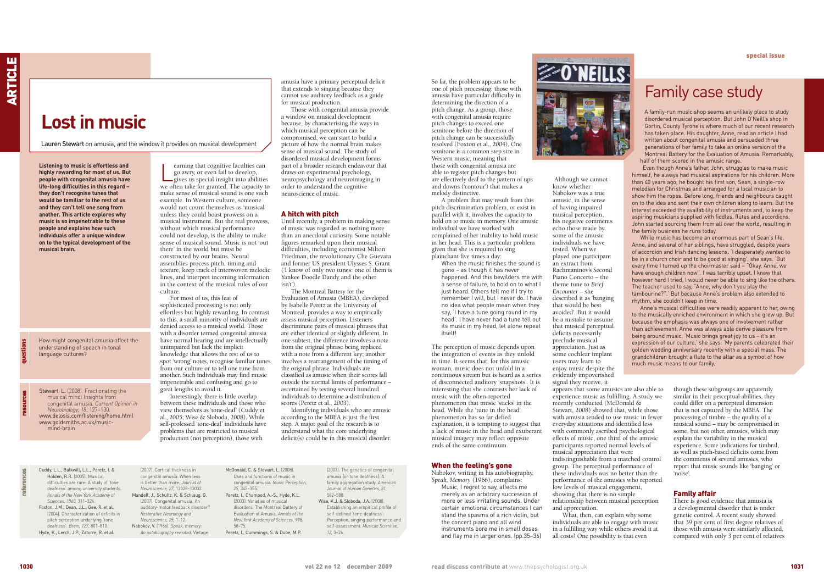So far, the problem appears to be one of pitch processing: those with amusia have particular difficulty in determining the direction of a pitch change. As a group, those with congenital amusia require pitch changes to exceed one semitone before the direction of pitch change can be successfully resolved (Foxton et al., 2004). One semitone is a common step size in Western music, meaning that those with congenital amusia are able to register pitch changes but are effectively deaf to the pattern of ups and downs ('contour') that makes a melody distinctive.

A problem that may result from this pitch discrimination problem, or exist in parallel with it, involves the capacity to hold on to music in memory. One amusic individual we have worked with complained of her inability to hold music in her head. This is a particular problem given that she is required to sing plainchant five times a day:

When the music finishes the sound is gone – as though it has never happened. And this bewilders me with a sense of failure, to hold on to what I just heard. Others tell me if I try to remember I will, but I never do. I have no idea what people mean when they say, 'I have a tune going round in my head'. I have never had a tune tell out its music in my head, let alone repeat itcolfl

The perception of music depends upon the integration of events as they unfold in time. It seems that, for this amusic woman, music does not unfold in a continuous stream but is heard as a series of disconnected auditory 'snapshots'. It is interesting that she contrasts her lack of music with the often-reported phenomenon that music 'sticks' in the head. While the 'tune in the head' phenomenon has so far defied explanation, it is tempting to suggest that a lack of music in the head and exuberant musical imagery may reflect opposite ends of the same continuum.

#### When the feeling's gone

Nabokov, writing in his autobiography, *Speak, Memory* (1966), complains: Music, I regret to say, affects me merely as an arbitrary succession of more or less irritating sounds. Under certain emotional circumstances I can stand the spasms of a rich violin, but the concert piano and all wind instruments bore me in small doses and flay me in larger ones. (pp.35–36)



Although we cannot know whether Nabokov was a true amusic, in the sense

of having impaired musical perception, his negative comments echo those made by some of the amusic individuals we have tested. When we played one participant an extract from Rachmaninov's Second Piano Concerto – the theme tune to *Brief Encounter* – she described it as 'banging that would be best avoided'. But it would be a mistake to assume that musical perceptual deficits necessarily preclude musical appreciation. Just as some cochlear implant users may learn to enjoy music despite the evidently impoverished signal they receive, it appears that some amusics are also able to experience music as fulfilling. A study we recently conducted (McDonald & Stewart, 2008) showed that, while those with amusia tended to use music in fewer everyday situations and identified less with commonly ascribed psychological effects of music, one third of the amusic participants reported normal levels of musical appreciation that were indistinguishable from a matched control group. The perceptual performance of these individuals was no better than the performance of the amusics who reported low levels of musical engagement, showing that there is no simple relationship between musical perception and appreciation.

earning that cognitive faculties can<br>go awry, or even fail to develop,<br>gives us special insight into abilities<br>we often take for granted. The capacity to earning that cognitive faculties can go awry, or even fail to develop, gives us special insight into abilities make sense of musical sound is one such example. In Western culture, someone would not count themselves as 'musical' unless they could boast prowess on a musical instrument. But the real prowess, without which musical performance could not develop, is the ability to make sense of musical sound. Music is not 'out there' in the world but must be constructed by our brains. Neural assemblies process pitch, timing and texture, keep track of interwoven melodic lines, and interpret incoming information in the context of the musical rules of our culture.

> What, then, can explain why some individuals are able to engage with music in a fulfilling way while others avoid it at all costs? One possibility is that even

though these subgroups are apparently similar in their perceptual abilities, they could differ on a perceptual dimension that is not captured by the MBEA. The processing of timbre – the quality of a musical sound – may be compromised in some, but not other, amusics, which may explain the variability in the musical experience. Some indications for timbral, as well as pitch-based deficits come from the comments of several amusics, who report that music sounds like 'banging' or 'noise'.

#### Family affair

There is good evidence that amusia is a developmental disorder that is under genetic control. A recent study showed that 39 per cent of first degree relatives of those with amusia were similarly affected, compared with only 3 per cent of relatives

Cuddy, L.L., Balkwill, L.L., Peretz, I. & Holden, R.R. (2005). Musical difficulties are rare: A study of 'tone deafness' among university students. *Annals of the New York Academy of Sciences, 1060,* 311–324. Foxton, J.M., Dean, J.L., Gee, R. et al. (2004). Characterization of deficits in pitch perception underlying 'tone deafness'. *Brain, 127*, 801–810. Hyde, K., Lerch, J.P., Zatorre, R. et al.

(2007). Cortical thickness in congenital amusia: When less is better than more. *Journal of Neuroscience, 27,* 13028–13032. Mandell, J., Schultz, K. & Schlaug, G. (2007). Congenital amusia: An auditory-motor feedback disorder? *Restorative Neurology and Neuroscience, 25,* 1–12. Nabokov, V. (1966). *Speak, memory: An autobiography revisited*. Vintage.

McDonald, C. & Stewart, L. (2008). Uses and functions of music in congenital amusia. *Music Perception, 25,* 345–355. Peretz, I., Champod, A.-S., Hyde, K.L. (2003). Varieties of musical disorders. The Montreal Battery of Evaluation of Amusia. *Annals of the New York Academy of Sciences, 998,* 58–75. Peretz, I., Cummings, S. & Dube, M.P.

(2007). The genetics of congenital amusia (or tone deafness): A family aggregation study. *American Journal of Human Genetics, 81,* 582–588. Wise, K.J. & Sloboda, J.A. (2008). Establishing an empirical profile of self-defined 'tone-deafness': Perception, singing performance and self-assessment. *Musicae Scientiae, 12,* 3–26.

**Listening to music is effortless and highly rewarding for most of us. But people with congenital amusia have life-long difficulties in this regard – they don't recognise tunes that would be familiar to the rest of us and they can't tell one song from another. This article explores why music is so impenetrable to these people and explains how such individuals offer a unique window on to the typical development of the musical brain.**

For most of us, this feat of sophisticated processing is not only effortless but highly rewarding. In contrast to this, a small minority of individuals are denied access to a musical world. Those with a disorder termed congenital amusia have normal hearing and are intellectually unimpaired but lack the implicit knowledge that allows the rest of us to spot 'wrong' notes, recognise familiar tunes from our culture or to tell one tune from another. Such individuals may find music impenetrable and confusing and go to great lengths to avoid it. Interestingly, there is little overlap

between these individuals and those who view themselves as 'tone-deaf' (Cuddy et al., 2005; Wise & Sloboda, 2008). While self-professed 'tone-deaf' individuals have problems that are restricted to musical production (not perception), those with

amusia have a primary perceptual deficit that extends to singing because they cannot use auditory feedback as a guide for musical production.

Those with congenital amusia provide a window on musical development because, by characterising the ways in which musical perception can be compromised, we can start to build a picture of how the normal brain makes sense of musical sound. The study of disordered musical development forms part of a broader research endeavour that draws on experimental psychology, neuropsychology and neuroimaging in order to understand the cognitive neuroscience of music.

#### A hitch with pitch

Until recently, a problem in making sense of music was regarded as nothing more than an anecdotal curiosity. Some notable figures remarked upon their musical difficulties, including economist Milton Friedman, the revolutionary Che Guevara and former US president Ulysses S. Grant ('I know of only two tunes: one of them is Yankee Doodle Dandy and the other isn't').

The Montreal Battery for the Evaluation of Amusia (MBEA), developed by Isabelle Peretz at the University of Montreal, provides a way to empirically assess musical perception. Listeners discriminate pairs of musical phrases that are either identical or slightly different. In one subtest, the difference involves a note from the original phrase being replaced with a note from a different key; another involves a rearrangement of the timing of the original phrase. Individuals are classified as amusic when their scores fall outside the normal limits of performance – ascertained by testing several hundred individuals to determine a distribution of scores (Peretz et al., 2003).

Identifying individuals who are amusic according to the MBEA is just the first step. A major goal of the research is to understand what the core underlying deficit(s) could be in this musical disorder.

Stewart, L. (2008). Fractionating the musical mind: Insights from congenital amusia. *Current Opinion in Neurobiology, 18*, 127–130. www.delosis.com/listening/home.html www.goldsmiths.ac.uk/musicmind-brain

How might congenital amusia affect the understanding of speech in tonal language cultures?

# **Lost in music**

Lauren Stewart on amusia, and the window it provides on musical development

## Family case study

A family-run music shop seems an unlikely place to study disordered musical perception. But John O'Neill's shop in Gortin, County Tyrone is where much of our recent research has taken place. His daughter, Anne, read an article I had written about congenital amusia and persuaded three generations of her family to take an online version of the Montreal Battery for the Evaluation of Amusia. Remarkably, half of them scored in the amusic range.

Even though Anne's father, John, struggles to make music himself, he always had musical aspirations for his children. More than 40 years ago, he bought his first son, Sean, a single-row melodian for Christmas and arranged for a local musician to show him the ropes. Before long, friends and neighbours caught on to the idea and sent their own children along to learn. But the interest exceeded the availability of instruments and, to keep the aspiring musicians supplied with fiddles, flutes and accordions, John started sourcing them from all over the world, resulting in the family business he runs today.

While music has become an enormous part of Sean's life, Anne, and several of her siblings, have struggled, despite years of accordion and Irish dancing lessons. 'I desperately wanted to be in a church choir and to be good at singing', she says. 'But every time I turned up the choirmaster said – "Okay, Anne, we have enough children now". I was terribly upset. I knew that however hard I tried, I would never be able to sing like the others. The teacher used to say, "Anne, why don't you play the tambourine?".' But because Anne's problem also extended to rhythm, she couldn't keep in time.

Anne's musical difficulties were readily apparent to her, owing to the musically enriched environment in which she grew up. But because the emphasis was always one of involvement rather than achievement, Anne was always able derive pleasure from being around music. 'Music brings great joy to us – it's an expression of our culture,' she says. 'My parents celebrated their golden wedding anniversary recently with a special mass. The grandchildren brought a flute to the altar as a symbol of how much music means to our family.'